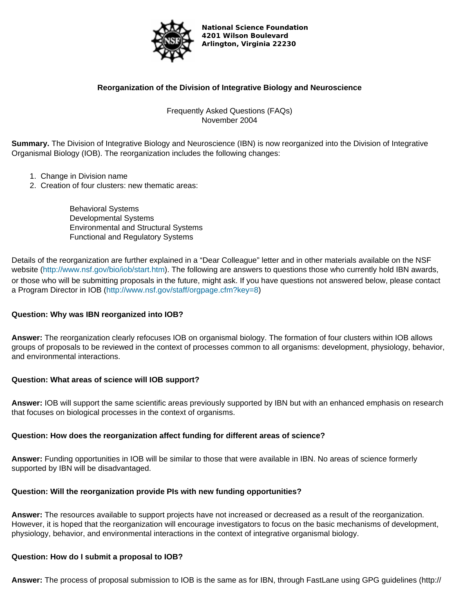

**National Science Foundation 4201 Wilson Boulevard Arlington, Virginia 22230**

# **Reorganization of the Division of Integrative Biology and Neuroscience**

Frequently Asked Questions (FAQs) November 2004

**Summary.** The Division of Integrative Biology and Neuroscience (IBN) is now reorganized into the Division of Integrative Organismal Biology (IOB). The reorganization includes the following changes:

- 1. Change in Division name
- 2. Creation of four clusters: new thematic areas:

Behavioral Systems Developmental Systems Environmental and Structural Systems Functional and Regulatory Systems

Details of the reorganization are further explained in a "Dear Colleague" letter and in other materials available on the NSF website [\(http://www.nsf.gov/bio/iob/start.htm\)](http://www.nsf.gov/bio/iob/start.htm). The following are answers to questions those who currently hold IBN awards, or those who will be submitting proposals in the future, might ask. If you have questions not answered below, please contact a Program Director in IOB [\(http://www.nsf.gov/staff/orgpage.cfm?key=8\)](http://www.nsf.gov/staff/orgpage.cfm?key=8)

## **Question: Why was IBN reorganized into IOB?**

**Answer:** The reorganization clearly refocuses IOB on organismal biology. The formation of four clusters within IOB allows groups of proposals to be reviewed in the context of processes common to all organisms: development, physiology, behavior, and environmental interactions.

## **Question: What areas of science will IOB support?**

**Answer:** IOB will support the same scientific areas previously supported by IBN but with an enhanced emphasis on research that focuses on biological processes in the context of organisms.

## **Question: How does the reorganization affect funding for different areas of science?**

**Answer:** Funding opportunities in IOB will be similar to those that were available in IBN. No areas of science formerly supported by IBN will be disadvantaged.

## **Question: Will the reorganization provide PIs with new funding opportunities?**

**Answer:** The resources available to support projects have not increased or decreased as a result of the reorganization. However, it is hoped that the reorganization will encourage investigators to focus on the basic mechanisms of development, physiology, behavior, and environmental interactions in the context of integrative organismal biology.

## **Question: How do I submit a proposal to IOB?**

**Answer:** The process of proposal submission to IOB is the same as for IBN, through FastLane using GPG guidelines (http://